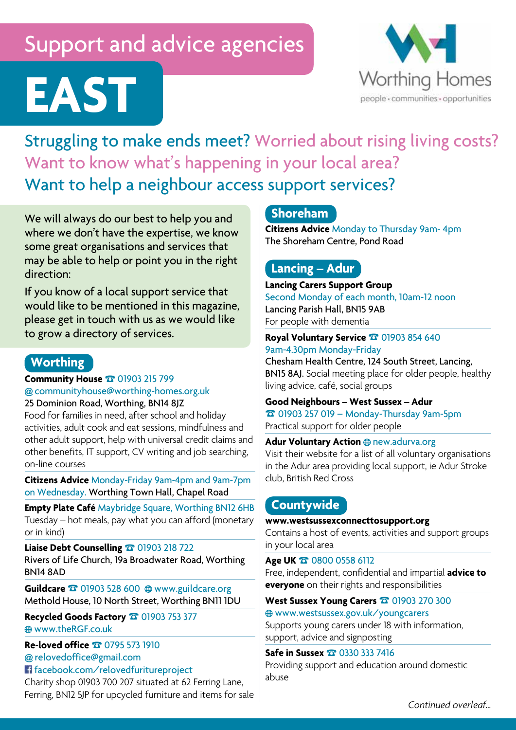# Support and advice agencies



**EAST** Struggling to make ends meet? Worried about rising living costs? Want to know what's happening in your local area? Want to help a neighbour access support services?

We will always do our best to help you and where we don't have the expertise, we know some great organisations and services that may be able to help or point you in the right direction:

If you know of a local support service that would like to be mentioned in this magazine, please get in touch with us as we would like to grow a directory of services.

## **Worthing**

**Community House** ☎ 01903 215 799 **@** communityhouse@worthing-homes.org.uk 25 Dominion Road, Worthing, BN14 8JZ

Food for families in need, after school and holiday activities, adult cook and eat sessions, mindfulness and other adult support, help with universal credit claims and other benefits, IT support, CV writing and job searching, on-line courses

**Citizens Advice** Monday-Friday 9am-4pm and 9am-7pm on Wednesday. Worthing Town Hall, Chapel Road

**Empty Plate Café** Maybridge Square, Worthing BN12 6HB Tuesday – hot meals, pay what you can afford (monetary or in kind)

**Liaise Debt Counselling** ☎ 01903 218 722 Rivers of Life Church, 19a Broadwater Road, Worthing BN14 8AD

Guildcare **☎ 01903 528 600** @ www.guildcare.org Methold House, 10 North Street, Worthing BN11 1DU

**Recycled Goods Factory** ☎ 01903 753 377 www.theRGF.co.uk

**Re-loved office** ☎ 0795 573 1910 **@** relovedoffice@gmail.com facebook.com/relovedfuritureproject

Charity shop 01903 700 207 situated at 62 Ferring Lane, Ferring, BN12 5JP for upcycled furniture and items for sale

## **Shoreham**

**Citizens Advice** Monday to Thursday 9am- 4pm The Shoreham Centre, Pond Road

## **Lancing – Adur**

**Lancing Carers Support Group** Second Monday of each month, 10am-12 noon Lancing Parish Hall, BN15 9AB For people with dementia

#### **Royal Voluntary Service** ☎ 01903 854 640 9am-4.30pm Monday-Friday

Chesham Health Centre, 124 South Street, Lancing, BN15 8AJ. Social meeting place for older people, healthy living advice, café, social groups

**Good Neighbours – West Sussex – Adur**  ☎ 01903 257 019 – Monday-Thursday 9am-5pm Practical support for older people

#### **Adur Voluntary Action** @ new.adurva.org

Visit their website for a list of all voluntary organisations in the Adur area providing local support, ie Adur Stroke club, British Red Cross

## **Countywide**

#### **www.westsussexconnecttosupport.org**

Contains a host of events, activities and support groups in your local area

#### **Age UK** ☎ 0800 0558 6112

Free, independent, confidential and impartial **advice to everyone** on their rights and responsibilities

#### **West Sussex Young Carers** ☎ 01903 270 300

www.westsussex.gov.uk/youngcarers

Supports young carers under 18 with information, support, advice and signposting

#### **Safe in Sussex** ☎ 0330 333 7416

Providing support and education around domestic abuse

*Continued overleaf…*